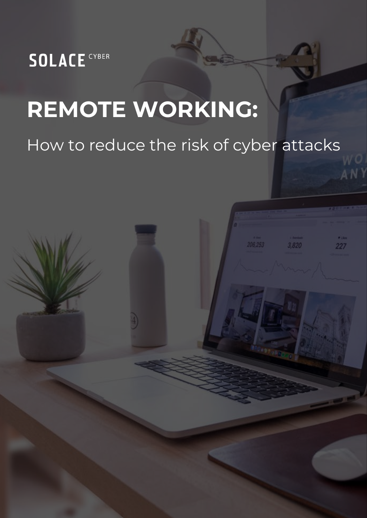

# **REMOTE WORKING:**

# How to reduce the risk of cyber attacks

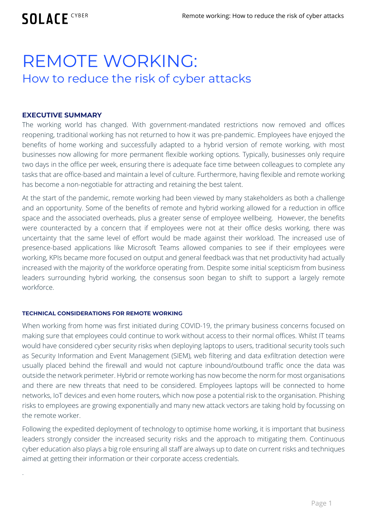**SOLACE CYBER** 

# REMOTE WORKING: How to reduce the risk of cyber attacks

#### **EXECUTIVE SUMMARY**

.

The working world has changed. With government-mandated restrictions now removed and offices reopening, traditional working has not returned to how it was pre-pandemic. Employees have enjoyed the benefits of home working and successfully adapted to a hybrid version of remote working, with most businesses now allowing for more permanent flexible working options. Typically, businesses only require two days in the office per week, ensuring there is adequate face time between colleagues to complete any tasks that are office-based and maintain a level of culture. Furthermore, having flexible and remote working has become a non-negotiable for attracting and retaining the best talent.

At the start of the pandemic, remote working had been viewed by many stakeholders as both a challenge and an opportunity. Some of the benefits of remote and hybrid working allowed for a reduction in office space and the associated overheads, plus a greater sense of employee wellbeing. However, the benefits were counteracted by a concern that if employees were not at their office desks working, there was uncertainty that the same level of effort would be made against their workload. The increased use of presence-based applications like Microsoft Teams allowed companies to see if their employees were working, KPIs became more focused on output and general feedback was that net productivity had actually increased with the majority of the workforce operating from. Despite some initial scepticism from business leaders surrounding hybrid working, the consensus soon began to shift to support a largely remote workforce.

#### **TECHNICAL CONSIDERATIONS FOR REMOTE WORKING**

When working from home was first initiated during COVID-19, the primary business concerns focused on making sure that employees could continue to work without access to their normal offices. Whilst IT teams would have considered cyber security risks when deploying laptops to users, traditional security tools such as Security Information and Event Management (SIEM), web filtering and data exfiltration detection were usually placed behind the firewall and would not capture inbound/outbound traffic once the data was outside the network perimeter. Hybrid or remote working has now become the norm for most organisations and there are new threats that need to be considered. Employees laptops will be connected to home networks, IoT devices and even home routers, which now pose a potential risk to the organisation. Phishing risks to employees are growing exponentially and many new attack vectors are taking hold by focussing on the remote worker.

Following the expedited deployment of technology to optimise home working, it is important that business leaders strongly consider the increased security risks and the approach to mitigating them. Continuous cyber education also plays a big role ensuring all staff are always up to date on current risks and techniques aimed at getting their information or their corporate access credentials.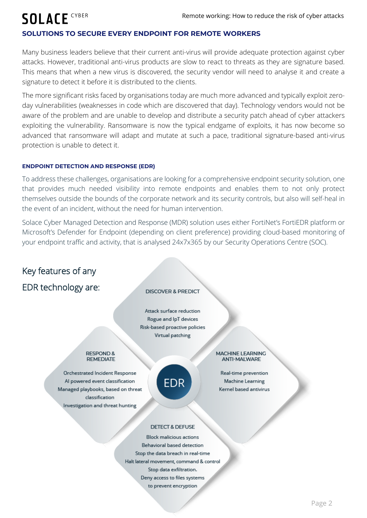# **SOLACE CYBER**

#### **SOLUTIONS TO SECURE EVERY ENDPOINT FOR REMOTE WORKERS**

Many business leaders believe that their current anti-virus will provide adequate protection against cyber attacks. However, traditional anti-virus products are slow to react to threats as they are signature based. This means that when a new virus is discovered, the security vendor will need to analyse it and create a signature to detect it before it is distributed to the clients.

The more significant risks faced by organisations today are much more advanced and typically exploit zeroday vulnerabilities (weaknesses in code which are discovered that day). Technology vendors would not be aware of the problem and are unable to develop and distribute a security patch ahead of cyber attackers exploiting the vulnerability. Ransomware is now the typical endgame of exploits, it has now become so advanced that ransomware will adapt and mutate at such a pace, traditional signature-based anti-virus protection is unable to detect it.

#### **ENDPOINT DETECTION AND RESPONSE (EDR)**

To address these challenges, organisations are looking for a comprehensive endpoint security solution, one that provides much needed visibility into remote endpoints and enables them to not only protect themselves outside the bounds of the corporate network and its security controls, but also will self-heal in the event of an incident, without the need for human intervention.

Solace Cyber Managed Detection and Response (MDR) solution uses either FortiNet's FortiEDR platform or Microsoft's Defender for Endpoint (depending on client preference) providing cloud-based monitoring of your endpoint traffic and activity, that is analysed 24x7x365 by our Security Operations Centre (SOC).

### Key features of any

### EDR technology are:

#### **DISCOVER & PREDICT**

Attack surface reduction Rogue and IpT devices Risk-based proactive policies Virtual patching

#### **RESPOND & REMEDIATE**

Orchestrated Incident Response Al powered event classification Managed playbooks, based on threat classification Investigation and threat hunting



#### MACHINE LEARNING **ANTI-MALWARE**

Real-time prevention Machine Learning Kernel based antivirus

#### **DETECT & DEFUSE**

**Block malicious actions** Behavioral based detection Stop the data breach in real-time Halt lateral movement, command & control Stop data exfiltration. Deny access to files systems to prevent encryption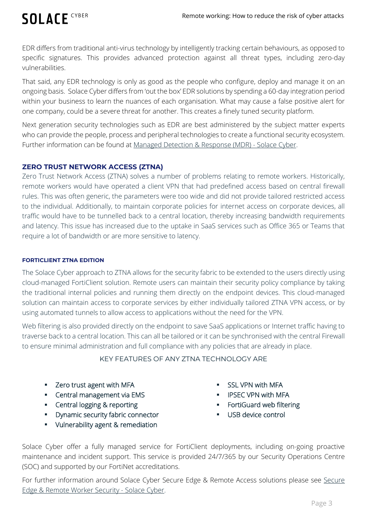# **SOLACE CYBER**

EDR differs from traditional anti-virus technology by intelligently tracking certain behaviours, as opposed to specific signatures. This provides advanced protection against all threat types, including zero-day vulnerabilities.

That said, any EDR technology is only as good as the people who configure, deploy and manage it on an ongoing basis. Solace Cyber differs from 'out the box' EDR solutions by spending a 60-day integration period within your business to learn the nuances of each organisation. What may cause a false positive alert for one company, could be a severe threat for another. This creates a finely tuned security platform.

Next generation security technologies such as EDR are best administered by the subject matter experts who can provide the people, process and peripheral technologies to create a functional security ecosystem. Further information can be found at [Managed Detection & Response \(MDR\) -](https://www.solaceglobal.com/cyber-security-risk/cyber-security-solutions/managed-detection-response-mdr/) Solace Cyber.

#### **ZERO TRUST NETWORK ACCESS (ZTNA)**

Zero Trust Network Access (ZTNA) solves a number of problems relating to remote workers. Historically, remote workers would have operated a client VPN that had predefined access based on central firewall rules. This was often generic, the parameters were too wide and did not provide tailored restricted access to the individual. Additionally, to maintain corporate policies for internet access on corporate devices, all traffic would have to be tunnelled back to a central location, thereby increasing bandwidth requirements and latency. This issue has increased due to the uptake in SaaS services such as Office 365 or Teams that require a lot of bandwidth or are more sensitive to latency.

#### **FORTICLIENT ZTNA EDITION**

The Solace Cyber approach to ZTNA allows for the security fabric to be extended to the users directly using cloud-managed FortiClient solution. Remote users can maintain their security policy compliance by taking the traditional internal policies and running them directly on the endpoint devices. This cloud-managed solution can maintain access to corporate services by either individually tailored ZTNA VPN access, or by using automated tunnels to allow access to applications without the need for the VPN.

Web filtering is also provided directly on the endpoint to save SaaS applications or Internet traffic having to traverse back to a central location. This can all be tailored or it can be synchronised with the central Firewall to ensure minimal administration and full compliance with any policies that are already in place.

#### KEY FEATURES OF ANY ZTNA TECHNOLOGY ARE

- **EXECT** Zero trust agent with MFA
- **EXEC** Central management via EMS
- **EXECOM** Central logging & reporting
- **•** Dynamic security fabric connector
- **•** Vulnerability agent & remediation
- SSL VPN with MFA
- IPSEC VPN with MFA
- **FortiGuard web filtering**
- **USB** device control

Solace Cyber offer a fully managed service for FortiClient deployments, including on-going proactive maintenance and incident support. This service is provided 24/7/365 by our Security Operations Centre (SOC) and supported by our FortiNet accreditations.

For further information around Solace Cyber [Secure](https://www.solaceglobal.com/cyber-security-risk/cyber-security-solutions/secure-edge-remote-worker-security/) Edge & Remote Access solutions please see Secure [Edge & Remote Worker Security -](https://www.solaceglobal.com/cyber-security-risk/cyber-security-solutions/secure-edge-remote-worker-security/) Solace Cyber.